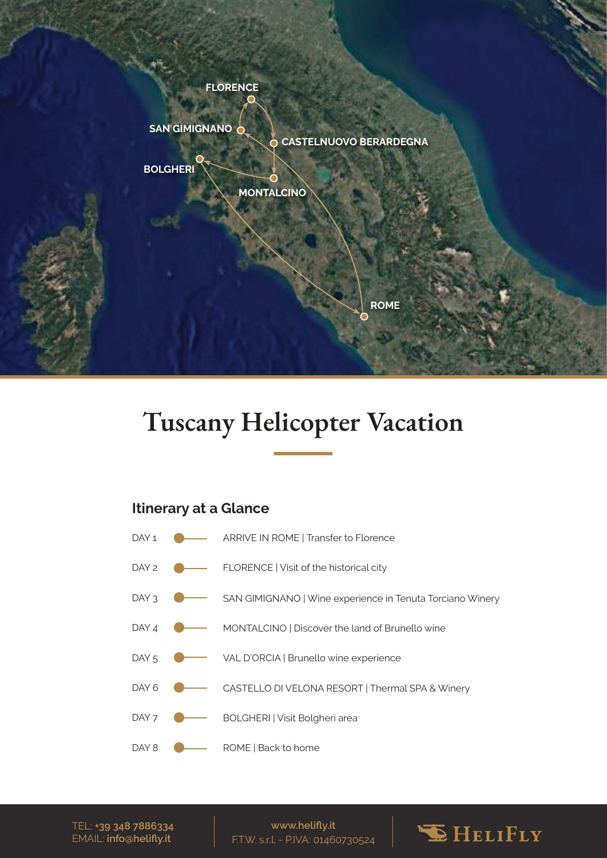

# **Tuscany Helicopter Vacation**

# **Itinerary at a Glance**



TEL: **+39 348 7886334** EMAIL: **info@helifly.it**

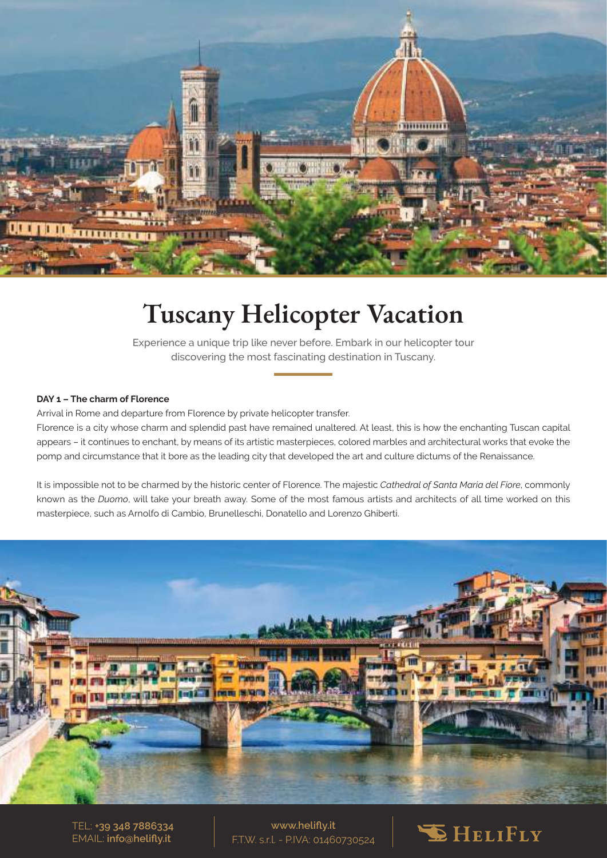

# **Tuscany Helicopter Vacation**

Experience a unique trip like never before. Embark in our helicopter tour discovering the most fascinating destination in Tuscany.

# **DAY 1 – The charm of Florence**

Arrival in Rome and departure from Florence by private helicopter transfer.

Florence is a city whose charm and splendid past have remained unaltered. At least, this is how the enchanting Tuscan capital appears – it continues to enchant, by means of its artistic masterpieces, colored marbles and architectural works that evoke the pomp and circumstance that it bore as the leading city that developed the art and culture dictums of the Renaissance.

It is impossible not to be charmed by the historic center of Florence. The majestic *Cathedral of Santa Maria del Fiore*, commonly known as the *Duomo*, will take your breath away. Some of the most famous artists and architects of all time worked on this masterpiece, such as Arnolfo di Cambio, Brunelleschi, Donatello and Lorenzo Ghiberti.



TEL: **+39 348 7886334** EMAIL: **info@helifly.it**

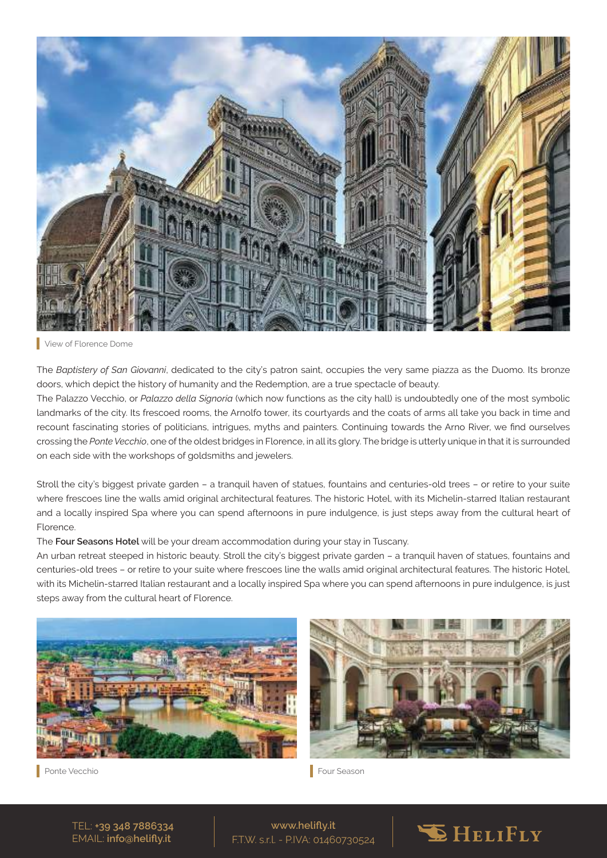

#### View of Florence Dome

The *Baptistery of San Giovanni*, dedicated to the city's patron saint, occupies the very same piazza as the Duomo. Its bronze doors, which depict the history of humanity and the Redemption, are a true spectacle of beauty.

The Palazzo Vecchio, or *Palazzo della Signoria* (which now functions as the city hall) is undoubtedly one of the most symbolic landmarks of the city. Its frescoed rooms, the Arnolfo tower, its courtyards and the coats of arms all take you back in time and recount fascinating stories of politicians, intrigues, myths and painters. Continuing towards the Arno River, we find ourselves crossing the *Ponte Vecchio*, one of the oldest bridges in Florence, in all its glory. The bridge is utterly unique in that it is surrounded on each side with the workshops of goldsmiths and jewelers.

Stroll the city's biggest private garden – a tranquil haven of statues, fountains and centuries-old trees – or retire to your suite where frescoes line the walls amid original architectural features. The historic Hotel, with its Michelin-starred Italian restaurant and a locally inspired Spa where you can spend afternoons in pure indulgence, is just steps away from the cultural heart of Florence.

The **Four Seasons Hotel** will be your dream accommodation during your stay in Tuscany.

An urban retreat steeped in historic beauty. Stroll the city's biggest private garden – a tranquil haven of statues, fountains and centuries-old trees – or retire to your suite where frescoes line the walls amid original architectural features. The historic Hotel, with its Michelin-starred Italian restaurant and a locally inspired Spa where you can spend afternoons in pure indulgence, is just steps away from the cultural heart of Florence.





Ponte Vecchio Four Season

TEL: **+39 348 7886334** EMAIL: **info@helifly.it**

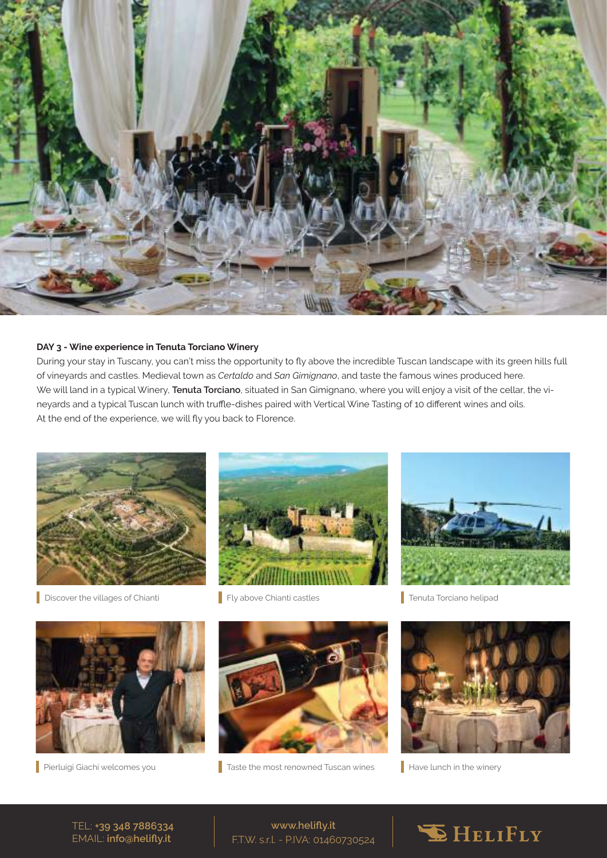

# **DAY 3 - Wine experience in Tenuta Torciano Winery**

During your stay in Tuscany, you can't miss the opportunity to fly above the incredible Tuscan landscape with its green hills full of vineyards and castles. Medieval town as *Certaldo* and *San Gimignano*, and taste the famous wines produced here. We will land in a typical Winery, **Tenuta Torciano**, situated in San Gimignano, where you will enjoy a visit of the cellar, the vineyards and a typical Tuscan lunch with truffle-dishes paired with Vertical Wine Tasting of 10 different wines and oils. At the end of the experience, we will fly you back to Florence.



Discover the villages of Chianti **Fly above Chianti castles** 





**Tenuta Torciano helipad** 





Pierluigi Giachi welcomes you **Taste the most renowned Tuscan wines** 



 $\blacksquare$  Have lunch in the winery

TEL: **+39 348 7886334** EMAIL: **info@helifly.it**

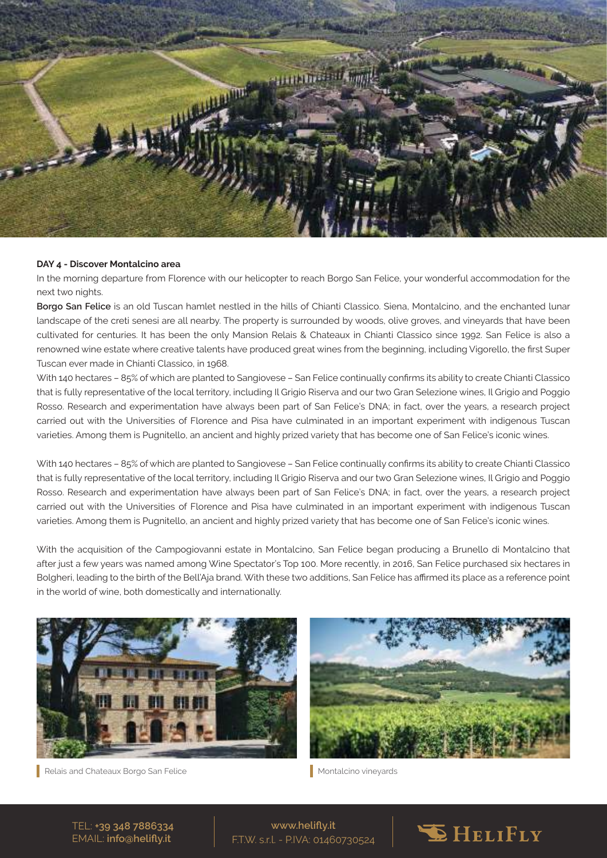

### **DAY 4 - Discover Montalcino area**

In the morning departure from Florence with our helicopter to reach Borgo San Felice, your wonderful accommodation for the next two nights.

**Borgo San Felice** is an old Tuscan hamlet nestled in the hills of Chianti Classico. Siena, Montalcino, and the enchanted lunar landscape of the creti senesi are all nearby. The property is surrounded by woods, olive groves, and vineyards that have been cultivated for centuries. It has been the only Mansion Relais & Chateaux in Chianti Classico since 1992. San Felice is also a renowned wine estate where creative talents have produced great wines from the beginning, including Vigorello, the first Super Tuscan ever made in Chianti Classico, in 1968.

With 140 hectares – 85% of which are planted to Sangiovese – San Felice continually confirms its ability to create Chianti Classico that is fully representative of the local territory, including Il Grigio Riserva and our two Gran Selezione wines, Il Grigio and Poggio Rosso. Research and experimentation have always been part of San Felice's DNA; in fact, over the years, a research project carried out with the Universities of Florence and Pisa have culminated in an important experiment with indigenous Tuscan varieties. Among them is Pugnitello, an ancient and highly prized variety that has become one of San Felice's iconic wines.

With 140 hectares – 85% of which are planted to Sangiovese – San Felice continually confirms its ability to create Chianti Classico that is fully representative of the local territory, including Il Grigio Riserva and our two Gran Selezione wines, Il Grigio and Poggio Rosso. Research and experimentation have always been part of San Felice's DNA; in fact, over the years, a research project carried out with the Universities of Florence and Pisa have culminated in an important experiment with indigenous Tuscan varieties. Among them is Pugnitello, an ancient and highly prized variety that has become one of San Felice's iconic wines.

With the acquisition of the Campogiovanni estate in Montalcino, San Felice began producing a Brunello di Montalcino that after just a few years was named among Wine Spectator's Top 100. More recently, in 2016, San Felice purchased six hectares in Bolgheri, leading to the birth of the Bell'Aja brand. With these two additions, San Felice has affirmed its place as a reference point in the world of wine, both domestically and internationally.



Relais and Chateaux Borgo San Felice Montalcino vineyards



TEL: **+39 348 7886334** EMAIL: **info@helifly.it**

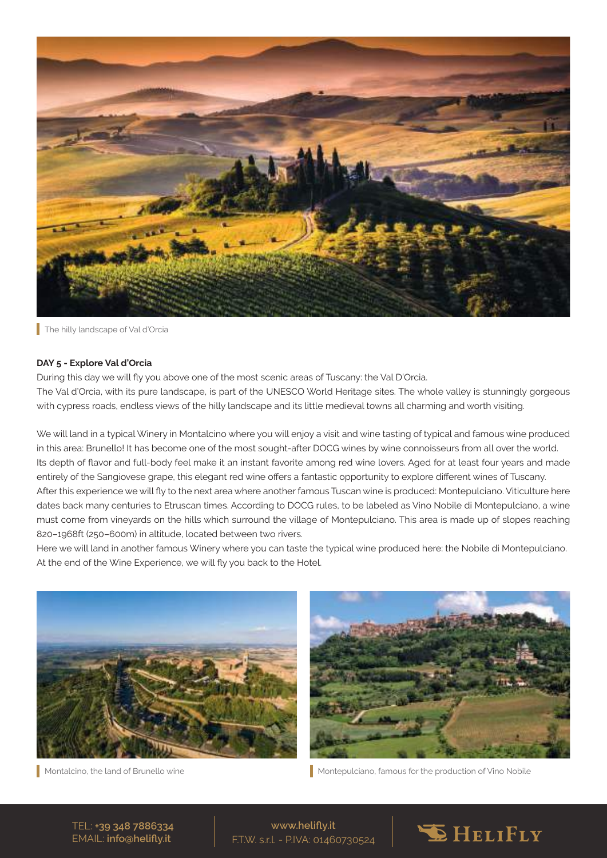

The hilly landscape of Val d'Orcia

# **DAY 5 - Explore Val d'Orcia**

During this day we will fly you above one of the most scenic areas of Tuscany: the Val D'Orcia. The Val d'Orcia, with its pure landscape, is part of the UNESCO World Heritage sites. The whole valley is stunningly gorgeous with cypress roads, endless views of the hilly landscape and its little medieval towns all charming and worth visiting.

We will land in a typical Winery in Montalcino where you will enjoy a visit and wine tasting of typical and famous wine produced in this area: Brunello! It has become one of the most sought-after DOCG wines by wine connoisseurs from all over the world. Its depth of flavor and full-body feel make it an instant favorite among red wine lovers. Aged for at least four years and made entirely of the Sangiovese grape, this elegant red wine offers a fantastic opportunity to explore different wines of Tuscany. After this experience we will fly to the next area where another famous Tuscan wine is produced: Montepulciano. Viticulture here dates back many centuries to Etruscan times. According to DOCG rules, to be labeled as Vino Nobile di Montepulciano, a wine must come from vineyards on the hills which surround the village of Montepulciano. This area is made up of slopes reaching 820–1968ft (250–600m) in altitude, located between two rivers.

Here we will land in another famous Winery where you can taste the typical wine produced here: the Nobile di Montepulciano. At the end of the Wine Experience, we will fly you back to the Hotel.





Montalcino, the land of Brunello wine Montepulciano, famous for the production of Vino Nobile

TEL: **+39 348 7886334** EMAIL: **info@helifly.it**

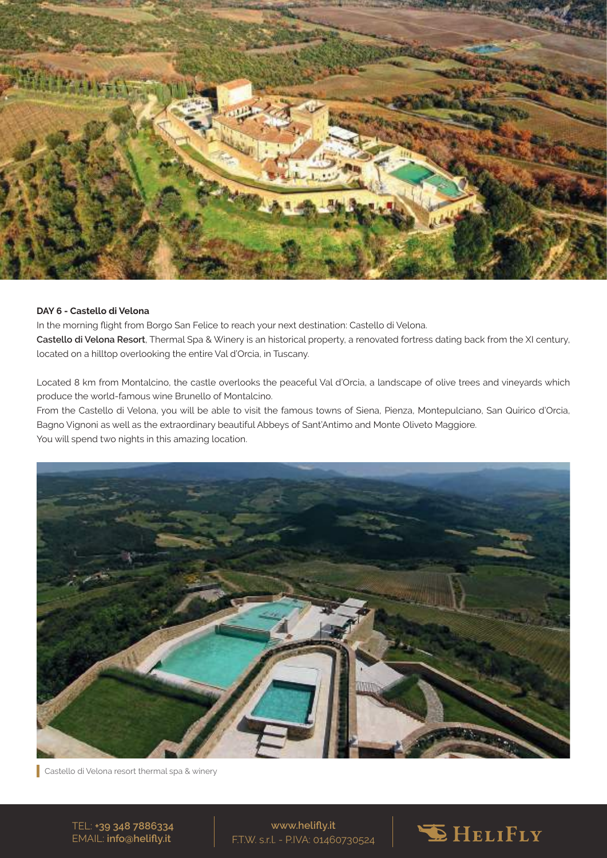

# **DAY 6 - Castello di Velona**

In the morning flight from Borgo San Felice to reach your next destination: Castello di Velona. **Castello di Velona Resort**, Thermal Spa & Winery is an historical property, a renovated fortress dating back from the XI century, located on a hilltop overlooking the entire Val d'Orcia, in Tuscany.

Located 8 km from Montalcino, the castle overlooks the peaceful Val d'Orcia, a landscape of olive trees and vineyards which produce the world-famous wine Brunello of Montalcino.

From the Castello di Velona, you will be able to visit the famous towns of Siena, Pienza, Montepulciano, San Quirico d'Orcia, Bagno Vignoni as well as the extraordinary beautiful Abbeys of Sant'Antimo and Monte Oliveto Maggiore. You will spend two nights in this amazing location.



Castello di Velona resort thermal spa & winery

TEL: **+39 348 7886334** EMAIL: **info@helifly.it**